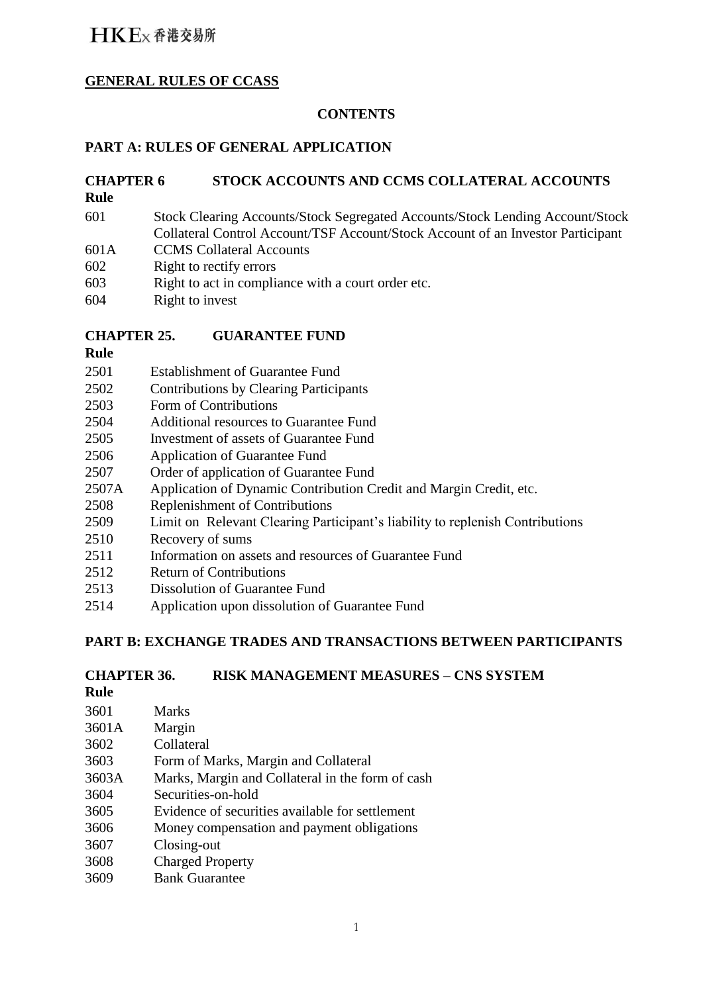### **GENERAL RULES OF CCASS**

### **CONTENTS**

### **PART A: RULES OF GENERAL APPLICATION**

### **CHAPTER 6 STOCK ACCOUNTS AND CCMS COLLATERAL ACCOUNTS**

- **Rule**
- 601 Stock Clearing Accounts/Stock Segregated Accounts/Stock Lending Account/Stock Collateral Control Account/TSF Account/Stock Account of an Investor Participant
- 601A CCMS Collateral Accounts
- 602 Right to rectify errors
- 603 Right to act in compliance with a court order etc.
- 604 Right to invest

### **CHAPTER 25. GUARANTEE FUND**

- **Rule**
- 2501 Establishment of Guarantee Fund
- 2502 Contributions by Clearing Participants
- 2503 Form of Contributions
- 2504 Additional resources to Guarantee Fund
- 2505 Investment of assets of Guarantee Fund
- 2506 Application of Guarantee Fund
- 2507 Order of application of Guarantee Fund
- 2507A Application of Dynamic Contribution Credit and Margin Credit, etc.
- 2508 Replenishment of Contributions
- 2509 Limit on Relevant Clearing Participant's liability to replenish Contributions
- 2510 Recovery of sums
- 2511 Information on assets and resources of Guarantee Fund
- 2512 Return of Contributions
- 2513 Dissolution of Guarantee Fund
- 2514 Application upon dissolution of Guarantee Fund

### **PART B: EXCHANGE TRADES AND TRANSACTIONS BETWEEN PARTICIPANTS**

### **CHAPTER 36. RISK MANAGEMENT MEASURES – CNS SYSTEM**

- **Rule**
- 3601 3601A 3602 3603 3603A 3604 3605 3606 3607 3608 3609 Marks Margin Collateral Form of Marks, Margin and Collateral Marks, Margin and Collateral in the form of cash Securities-on-hold Evidence of securities available for settlement Money compensation and payment obligations Closing-out Charged Property Bank Guarantee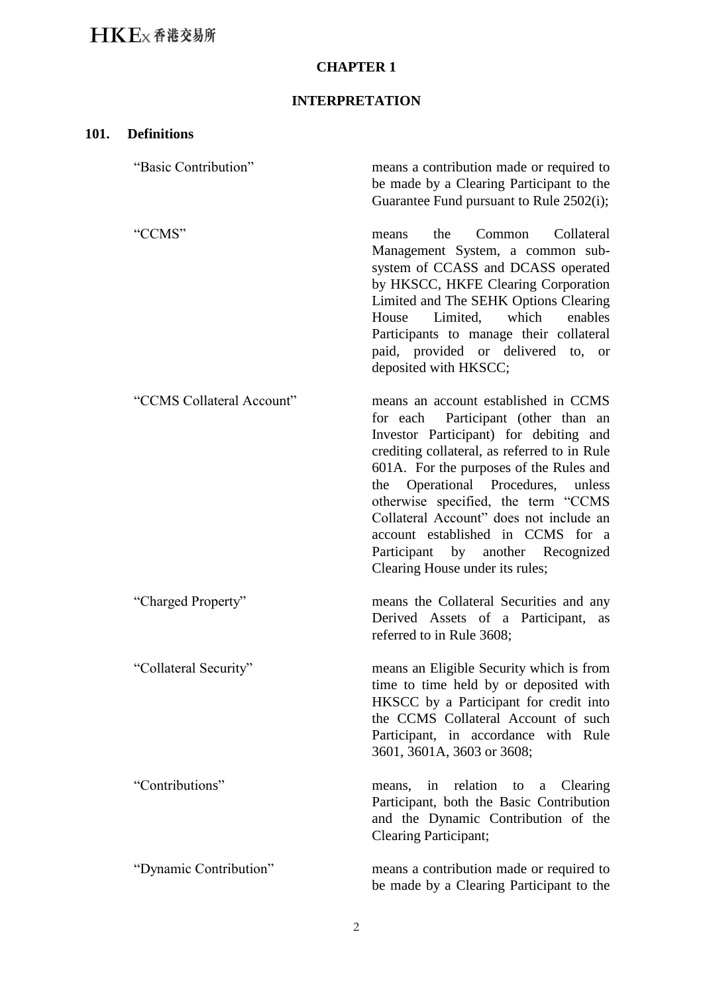### **CHAPTER 1**

### **INTERPRETATION**

| 101. | <b>Definitions</b>        |                                                                                                                                                                                                                                                                                                                                                                                                                                                          |
|------|---------------------------|----------------------------------------------------------------------------------------------------------------------------------------------------------------------------------------------------------------------------------------------------------------------------------------------------------------------------------------------------------------------------------------------------------------------------------------------------------|
|      | "Basic Contribution"      | means a contribution made or required to<br>be made by a Clearing Participant to the<br>Guarantee Fund pursuant to Rule 2502(i);                                                                                                                                                                                                                                                                                                                         |
|      | "CCMS"                    | Collateral<br>the<br>Common<br>means<br>Management System, a common sub-<br>system of CCASS and DCASS operated<br>by HKSCC, HKFE Clearing Corporation<br>Limited and The SEHK Options Clearing<br>Limited, which<br>enables<br>House<br>Participants to manage their collateral<br>paid, provided or delivered to, or<br>deposited with HKSCC;                                                                                                           |
|      | "CCMS Collateral Account" | means an account established in CCMS<br>for each Participant (other than an<br>Investor Participant) for debiting and<br>crediting collateral, as referred to in Rule<br>601A. For the purposes of the Rules and<br>the Operational Procedures,<br>unless<br>otherwise specified, the term "CCMS<br>Collateral Account" does not include an<br>account established in CCMS for a<br>Participant by another Recognized<br>Clearing House under its rules; |
|      | "Charged Property"        | means the Collateral Securities and any<br>Derived Assets of a Participant,<br>as<br>referred to in Rule 3608;                                                                                                                                                                                                                                                                                                                                           |
|      | "Collateral Security"     | means an Eligible Security which is from<br>time to time held by or deposited with<br>HKSCC by a Participant for credit into<br>the CCMS Collateral Account of such<br>Participant, in accordance with Rule<br>3601, 3601A, 3603 or 3608;                                                                                                                                                                                                                |
|      | "Contributions"           | means, in relation to a Clearing<br>Participant, both the Basic Contribution<br>and the Dynamic Contribution of the<br><b>Clearing Participant;</b>                                                                                                                                                                                                                                                                                                      |
|      | "Dynamic Contribution"    | means a contribution made or required to<br>be made by a Clearing Participant to the                                                                                                                                                                                                                                                                                                                                                                     |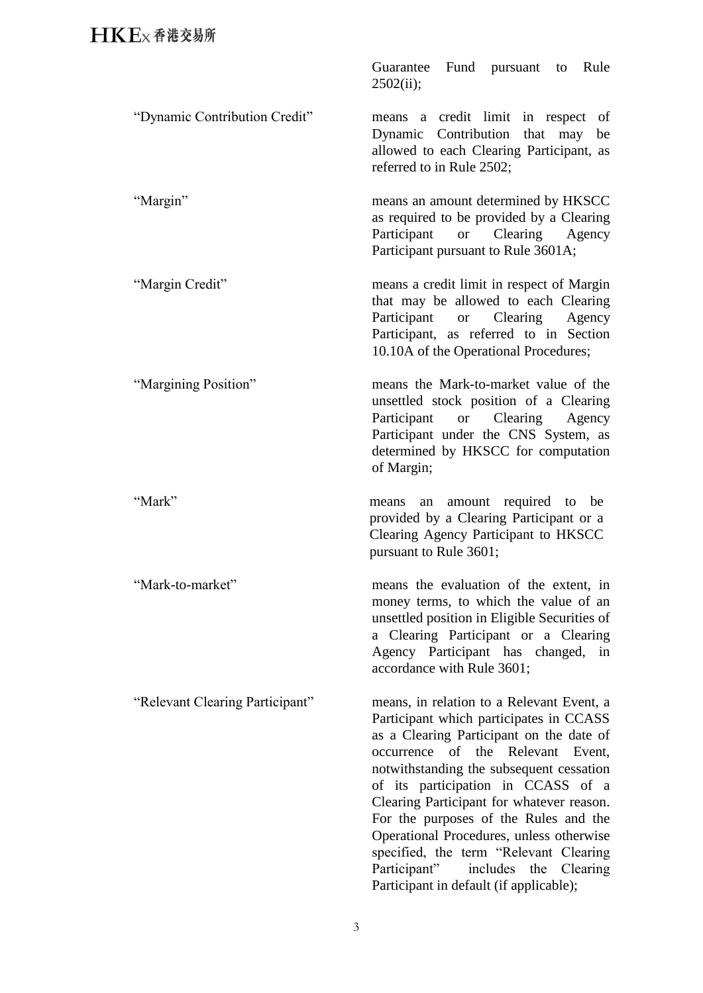"Mark-to-market"

| Guarantee Fund pursuant to Rule |  |  |
|---------------------------------|--|--|
| 2502(ii);                       |  |  |

"Dynamic Contribution Credit" means a credit limit in respect of Dynamic Contribution that may be allowed to each Clearing Participant, as referred to in Rule 2502;

"Margin" means an amount determined by HKSCC as required to be provided by a Clearing Participant or Clearing Agency Participant pursuant to Rule 3601A;

"Margin Credit" means a credit limit in respect of Margin that may be allowed to each Clearing Participant or Clearing Agency Participant, as referred to in Section 10.10A of the Operational Procedures;

"Margining Position" means the Mark-to-market value of the unsettled stock position of a Clearing Participant or Clearing Agency Participant under the CNS System, as determined by HKSCC for computation of Margin;

"Mark" means an amount required to be provided by a Clearing Participant or a Clearing Agency Participant to HKSCC pursuant to Rule 3601;

> means the evaluation of the extent, in money terms, to which the value of an unsettled position in Eligible Securities of a Clearing Participant or a Clearing Agency Participant has changed, in accordance with Rule 3601;

"Relevant Clearing Participant" means, in relation to a Relevant Event, a Participant which participates in CCASS as a Clearing Participant on the date of occurrence of the Relevant Event, notwithstanding the subsequent cessation of its participation in CCASS of a Clearing Participant for whatever reason. For the purposes of the Rules and the Operational Procedures, unless otherwise specified, the term "Relevant Clearing Participant" includes the Clearing Participant in default (if applicable);

3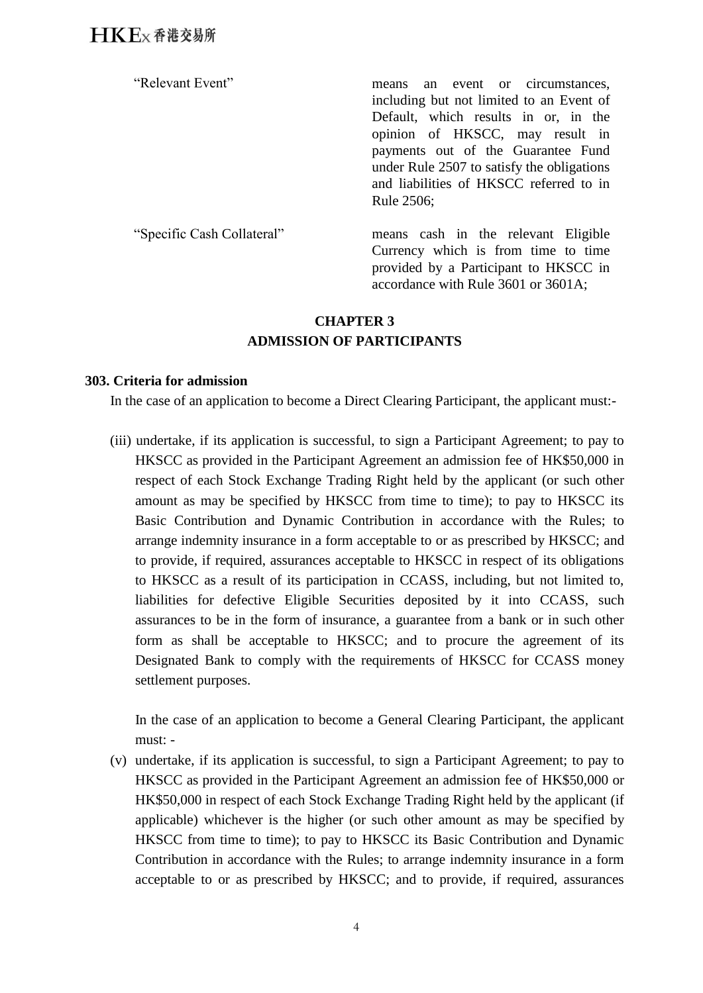"Relevant Event" means an event or circumstances, including but not limited to an Event of Default, which results in or, in the opinion of HKSCC, may result in payments out of the Guarantee Fund under Rule 2507 to satisfy the obligations and liabilities of HKSCC referred to in Rule 2506;

"Specific Cash Collateral" means cash in the relevant Eligible Currency which is from time to time provided by a Participant to HKSCC in accordance with Rule 3601 or 3601A;

### **CHAPTER 3 ADMISSION OF PARTICIPANTS**

### **303. Criteria for admission**

In the case of an application to become a Direct Clearing Participant, the applicant must:-

(iii) undertake, if its application is successful, to sign a Participant Agreement; to pay to HKSCC as provided in the Participant Agreement an admission fee of HK\$50,000 in respect of each Stock Exchange Trading Right held by the applicant (or such other amount as may be specified by HKSCC from time to time); to pay to HKSCC its Basic Contribution and Dynamic Contribution in accordance with the Rules; to arrange indemnity insurance in a form acceptable to or as prescribed by HKSCC; and to provide, if required, assurances acceptable to HKSCC in respect of its obligations to HKSCC as a result of its participation in CCASS, including, but not limited to, liabilities for defective Eligible Securities deposited by it into CCASS, such assurances to be in the form of insurance, a guarantee from a bank or in such other form as shall be acceptable to HKSCC; and to procure the agreement of its Designated Bank to comply with the requirements of HKSCC for CCASS money settlement purposes.

In the case of an application to become a General Clearing Participant, the applicant must: -

(v) undertake, if its application is successful, to sign a Participant Agreement; to pay to HKSCC as provided in the Participant Agreement an admission fee of HK\$50,000 or HK\$50,000 in respect of each Stock Exchange Trading Right held by the applicant (if applicable) whichever is the higher (or such other amount as may be specified by HKSCC from time to time); to pay to HKSCC its Basic Contribution and Dynamic Contribution in accordance with the Rules; to arrange indemnity insurance in a form acceptable to or as prescribed by HKSCC; and to provide, if required, assurances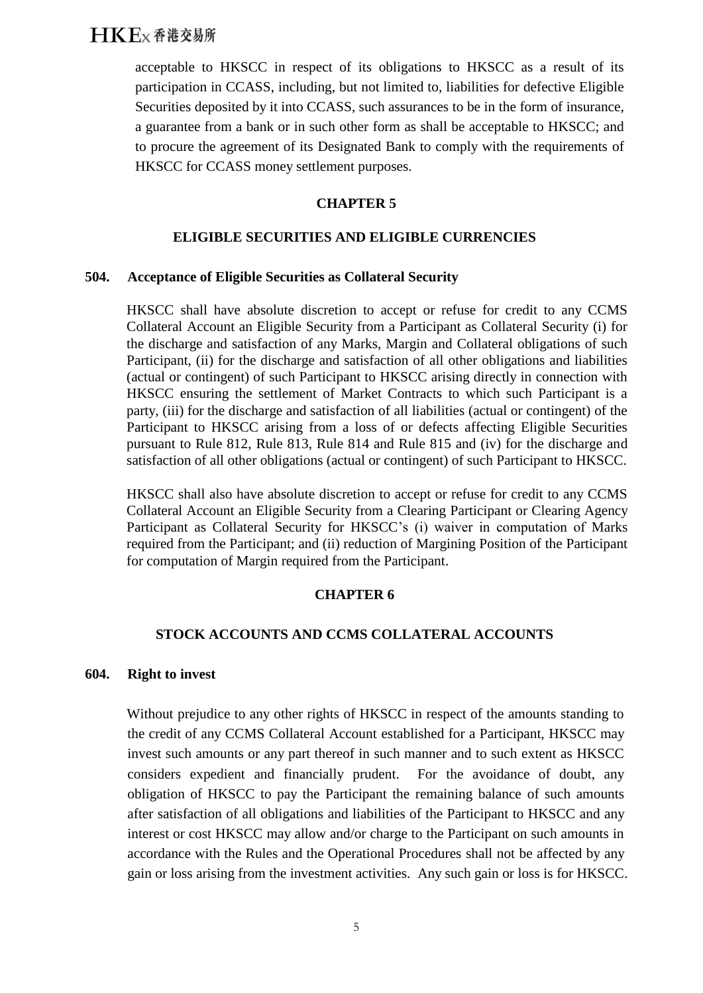acceptable to HKSCC in respect of its obligations to HKSCC as a result of its participation in CCASS, including, but not limited to, liabilities for defective Eligible Securities deposited by it into CCASS, such assurances to be in the form of insurance, a guarantee from a bank or in such other form as shall be acceptable to HKSCC; and to procure the agreement of its Designated Bank to comply with the requirements of HKSCC for CCASS money settlement purposes.

### **CHAPTER 5**

### **ELIGIBLE SECURITIES AND ELIGIBLE CURRENCIES**

### **504. Acceptance of Eligible Securities as Collateral Security**

HKSCC shall have absolute discretion to accept or refuse for credit to any CCMS Collateral Account an Eligible Security from a Participant as Collateral Security (i) for the discharge and satisfaction of any Marks, Margin and Collateral obligations of such Participant, (ii) for the discharge and satisfaction of all other obligations and liabilities (actual or contingent) of such Participant to HKSCC arising directly in connection with HKSCC ensuring the settlement of Market Contracts to which such Participant is a party, (iii) for the discharge and satisfaction of all liabilities (actual or contingent) of the Participant to HKSCC arising from a loss of or defects affecting Eligible Securities pursuant to Rule 812, Rule 813, Rule 814 and Rule 815 and (iv) for the discharge and satisfaction of all other obligations (actual or contingent) of such Participant to HKSCC.

HKSCC shall also have absolute discretion to accept or refuse for credit to any CCMS Collateral Account an Eligible Security from a Clearing Participant or Clearing Agency Participant as Collateral Security for HKSCC's (i) waiver in computation of Marks required from the Participant; and (ii) reduction of Margining Position of the Participant for computation of Margin required from the Participant.

### **CHAPTER 6**

### **STOCK ACCOUNTS AND CCMS COLLATERAL ACCOUNTS**

### **604. Right to invest**

Without prejudice to any other rights of HKSCC in respect of the amounts standing to the credit of any CCMS Collateral Account established for a Participant, HKSCC may invest such amounts or any part thereof in such manner and to such extent as HKSCC considers expedient and financially prudent. For the avoidance of doubt, any obligation of HKSCC to pay the Participant the remaining balance of such amounts after satisfaction of all obligations and liabilities of the Participant to HKSCC and any interest or cost HKSCC may allow and/or charge to the Participant on such amounts in accordance with the Rules and the Operational Procedures shall not be affected by any gain or loss arising from the investment activities. Any such gain or loss is for HKSCC.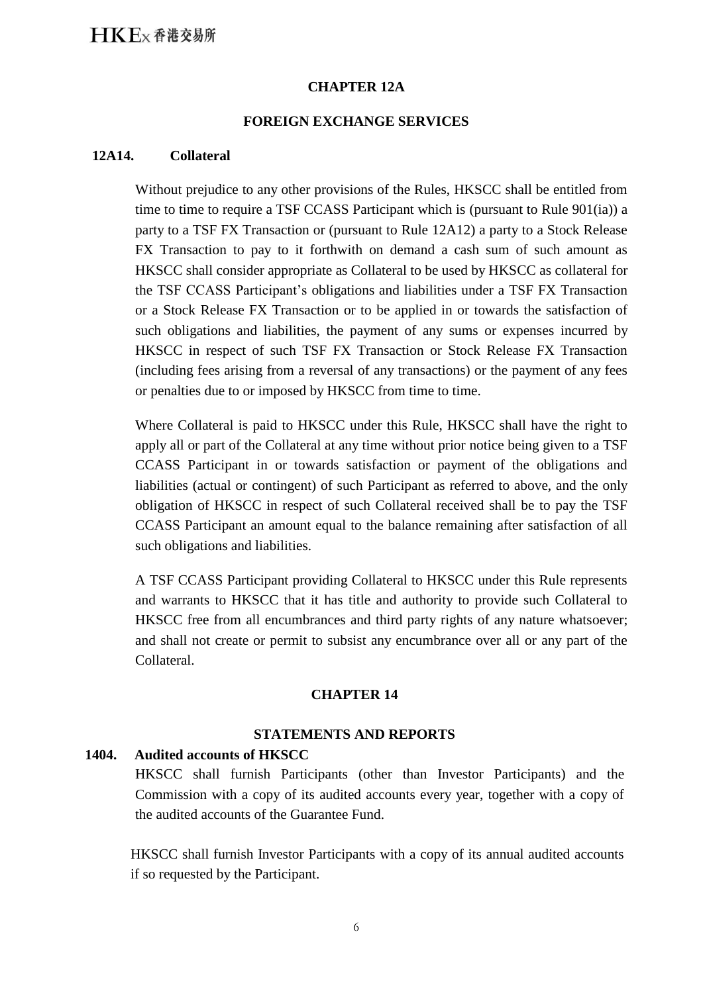### **CHAPTER 12A**

### **FOREIGN EXCHANGE SERVICES**

#### **12A14. Collateral**

Without prejudice to any other provisions of the Rules, HKSCC shall be entitled from time to time to require a TSF CCASS Participant which is (pursuant to Rule 901(ia)) a party to a TSF FX Transaction or (pursuant to Rule 12A12) a party to a Stock Release FX Transaction to pay to it forthwith on demand a cash sum of such amount as HKSCC shall consider appropriate as Collateral to be used by HKSCC as collateral for the TSF CCASS Participant's obligations and liabilities under a TSF FX Transaction or a Stock Release FX Transaction or to be applied in or towards the satisfaction of such obligations and liabilities, the payment of any sums or expenses incurred by HKSCC in respect of such TSF FX Transaction or Stock Release FX Transaction (including fees arising from a reversal of any transactions) or the payment of any fees or penalties due to or imposed by HKSCC from time to time.

Where Collateral is paid to HKSCC under this Rule, HKSCC shall have the right to apply all or part of the Collateral at any time without prior notice being given to a TSF CCASS Participant in or towards satisfaction or payment of the obligations and liabilities (actual or contingent) of such Participant as referred to above, and the only obligation of HKSCC in respect of such Collateral received shall be to pay the TSF CCASS Participant an amount equal to the balance remaining after satisfaction of all such obligations and liabilities.

A TSF CCASS Participant providing Collateral to HKSCC under this Rule represents and warrants to HKSCC that it has title and authority to provide such Collateral to HKSCC free from all encumbrances and third party rights of any nature whatsoever; and shall not create or permit to subsist any encumbrance over all or any part of the Collateral.

#### **CHAPTER 14**

### **STATEMENTS AND REPORTS**

### **1404. Audited accounts of HKSCC**

HKSCC shall furnish Participants (other than Investor Participants) and the Commission with a copy of its audited accounts every year, together with a copy of the audited accounts of the Guarantee Fund.

HKSCC shall furnish Investor Participants with a copy of its annual audited accounts if so requested by the Participant.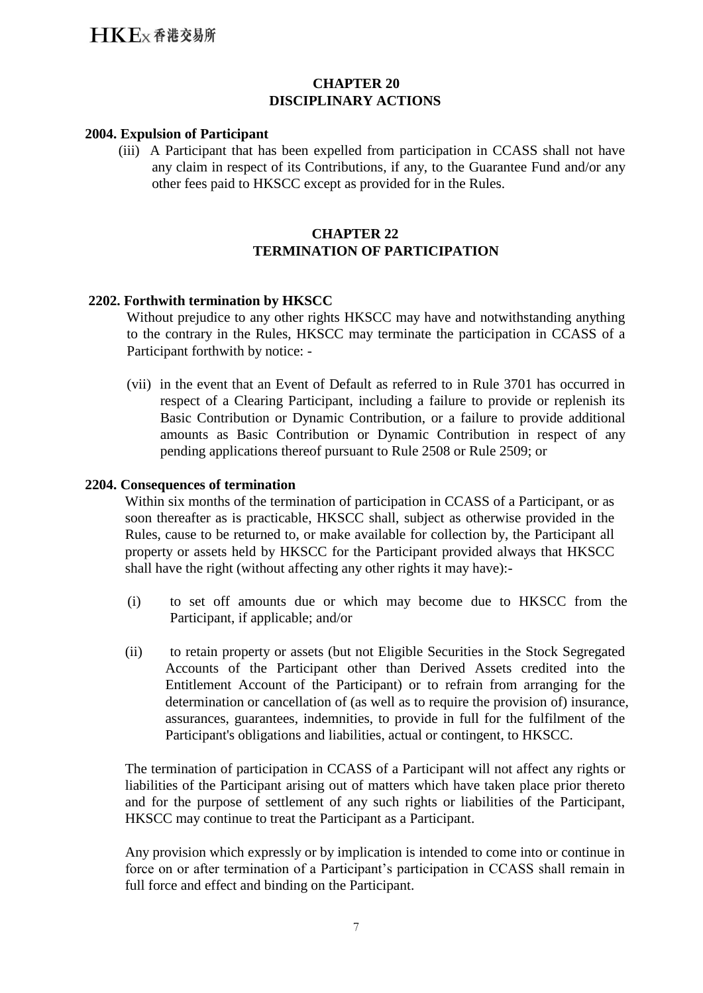### **CHAPTER 20 DISCIPLINARY ACTIONS**

### **2004. Expulsion of Participant**

(iii) A Participant that has been expelled from participation in CCASS shall not have any claim in respect of its Contributions, if any, to the Guarantee Fund and/or any other fees paid to HKSCC except as provided for in the Rules.

### **CHAPTER 22 TERMINATION OF PARTICIPATION**

### **2202. Forthwith termination by HKSCC**

Without prejudice to any other rights HKSCC may have and notwithstanding anything to the contrary in the Rules, HKSCC may terminate the participation in CCASS of a Participant forthwith by notice: -

(vii) in the event that an Event of Default as referred to in Rule 3701 has occurred in respect of a Clearing Participant, including a failure to provide or replenish its Basic Contribution or Dynamic Contribution, or a failure to provide additional amounts as Basic Contribution or Dynamic Contribution in respect of any pending applications thereof pursuant to Rule 2508 or Rule 2509; or

### **2204. Consequences of termination**

Within six months of the termination of participation in CCASS of a Participant, or as soon thereafter as is practicable, HKSCC shall, subject as otherwise provided in the Rules, cause to be returned to, or make available for collection by, the Participant all property or assets held by HKSCC for the Participant provided always that HKSCC shall have the right (without affecting any other rights it may have):-

- (i) to set off amounts due or which may become due to HKSCC from the Participant, if applicable; and/or
- (ii) to retain property or assets (but not Eligible Securities in the Stock Segregated Accounts of the Participant other than Derived Assets credited into the Entitlement Account of the Participant) or to refrain from arranging for the determination or cancellation of (as well as to require the provision of) insurance, assurances, guarantees, indemnities, to provide in full for the fulfilment of the Participant's obligations and liabilities, actual or contingent, to HKSCC.

The termination of participation in CCASS of a Participant will not affect any rights or liabilities of the Participant arising out of matters which have taken place prior thereto and for the purpose of settlement of any such rights or liabilities of the Participant, HKSCC may continue to treat the Participant as a Participant.

Any provision which expressly or by implication is intended to come into or continue in force on or after termination of a Participant's participation in CCASS shall remain in full force and effect and binding on the Participant.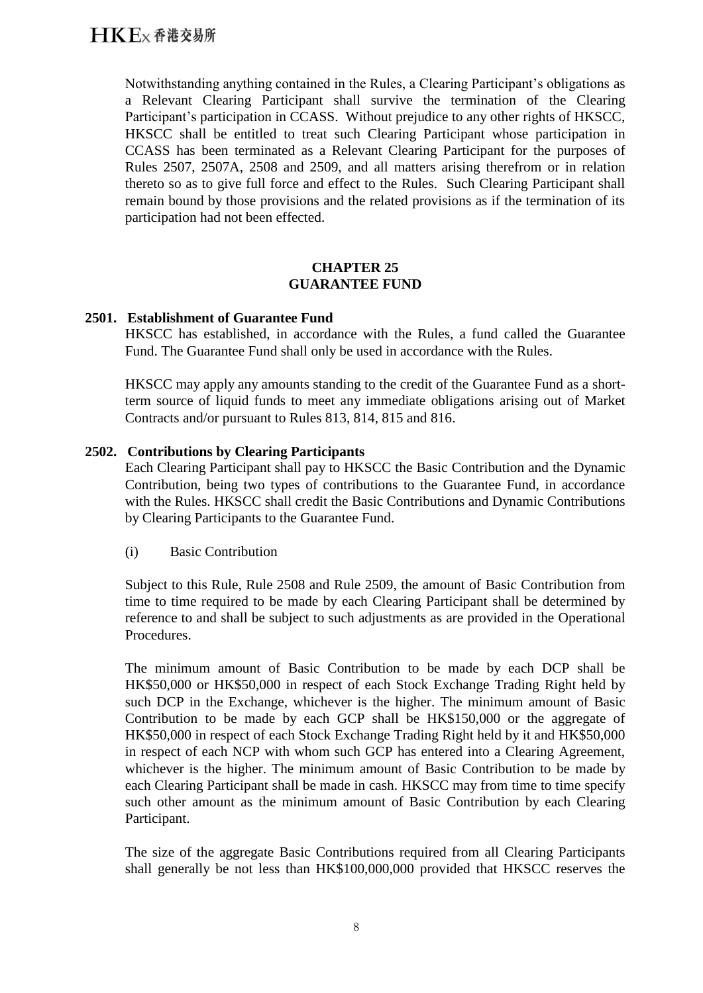Notwithstanding anything contained in the Rules, a Clearing Participant's obligations as a Relevant Clearing Participant shall survive the termination of the Clearing Participant's participation in CCASS. Without prejudice to any other rights of HKSCC, HKSCC shall be entitled to treat such Clearing Participant whose participation in CCASS has been terminated as a Relevant Clearing Participant for the purposes of Rules 2507, 2507A, 2508 and 2509, and all matters arising therefrom or in relation thereto so as to give full force and effect to the Rules. Such Clearing Participant shall remain bound by those provisions and the related provisions as if the termination of its participation had not been effected.

### **CHAPTER 25 GUARANTEE FUND**

### **2501. Establishment of Guarantee Fund**

HKSCC has established, in accordance with the Rules, a fund called the Guarantee Fund. The Guarantee Fund shall only be used in accordance with the Rules.

HKSCC may apply any amounts standing to the credit of the Guarantee Fund as a shortterm source of liquid funds to meet any immediate obligations arising out of Market Contracts and/or pursuant to Rules 813, 814, 815 and 816.

### **2502. Contributions by Clearing Participants**

Each Clearing Participant shall pay to HKSCC the Basic Contribution and the Dynamic Contribution, being two types of contributions to the Guarantee Fund, in accordance with the Rules. HKSCC shall credit the Basic Contributions and Dynamic Contributions by Clearing Participants to the Guarantee Fund.

(i) Basic Contribution

Subject to this Rule, Rule 2508 and Rule 2509, the amount of Basic Contribution from time to time required to be made by each Clearing Participant shall be determined by reference to and shall be subject to such adjustments as are provided in the Operational Procedures.

The minimum amount of Basic Contribution to be made by each DCP shall be HK\$50,000 or HK\$50,000 in respect of each Stock Exchange Trading Right held by such DCP in the Exchange, whichever is the higher. The minimum amount of Basic Contribution to be made by each GCP shall be HK\$150,000 or the aggregate of HK\$50,000 in respect of each Stock Exchange Trading Right held by it and HK\$50,000 in respect of each NCP with whom such GCP has entered into a Clearing Agreement, whichever is the higher. The minimum amount of Basic Contribution to be made by each Clearing Participant shall be made in cash. HKSCC may from time to time specify such other amount as the minimum amount of Basic Contribution by each Clearing Participant.

The size of the aggregate Basic Contributions required from all Clearing Participants shall generally be not less than HK\$100,000,000 provided that HKSCC reserves the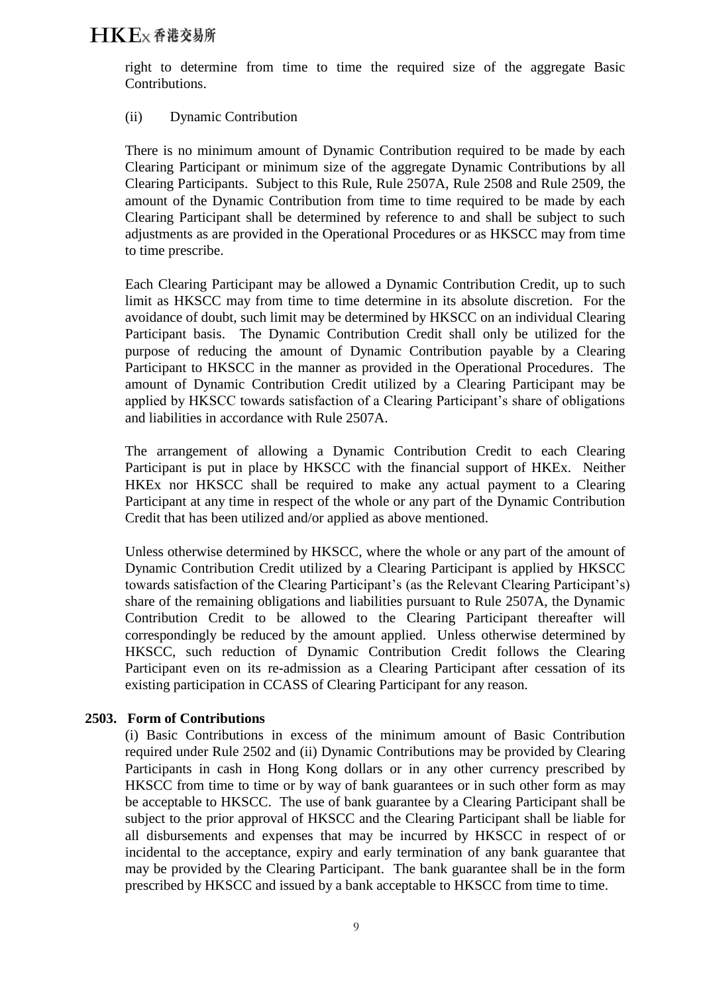right to determine from time to time the required size of the aggregate Basic Contributions.

### (ii) Dynamic Contribution

There is no minimum amount of Dynamic Contribution required to be made by each Clearing Participant or minimum size of the aggregate Dynamic Contributions by all Clearing Participants. Subject to this Rule, Rule 2507A, Rule 2508 and Rule 2509, the amount of the Dynamic Contribution from time to time required to be made by each Clearing Participant shall be determined by reference to and shall be subject to such adjustments as are provided in the Operational Procedures or as HKSCC may from time to time prescribe.

Each Clearing Participant may be allowed a Dynamic Contribution Credit, up to such limit as HKSCC may from time to time determine in its absolute discretion. For the avoidance of doubt, such limit may be determined by HKSCC on an individual Clearing Participant basis. The Dynamic Contribution Credit shall only be utilized for the purpose of reducing the amount of Dynamic Contribution payable by a Clearing Participant to HKSCC in the manner as provided in the Operational Procedures. The amount of Dynamic Contribution Credit utilized by a Clearing Participant may be applied by HKSCC towards satisfaction of a Clearing Participant's share of obligations and liabilities in accordance with Rule 2507A.

The arrangement of allowing a Dynamic Contribution Credit to each Clearing Participant is put in place by HKSCC with the financial support of HKEx. Neither HKEx nor HKSCC shall be required to make any actual payment to a Clearing Participant at any time in respect of the whole or any part of the Dynamic Contribution Credit that has been utilized and/or applied as above mentioned.

Unless otherwise determined by HKSCC, where the whole or any part of the amount of Dynamic Contribution Credit utilized by a Clearing Participant is applied by HKSCC towards satisfaction of the Clearing Participant's (as the Relevant Clearing Participant's) share of the remaining obligations and liabilities pursuant to Rule 2507A, the Dynamic Contribution Credit to be allowed to the Clearing Participant thereafter will correspondingly be reduced by the amount applied. Unless otherwise determined by HKSCC, such reduction of Dynamic Contribution Credit follows the Clearing Participant even on its re-admission as a Clearing Participant after cessation of its existing participation in CCASS of Clearing Participant for any reason.

### **2503. Form of Contributions**

(i) Basic Contributions in excess of the minimum amount of Basic Contribution required under Rule 2502 and (ii) Dynamic Contributions may be provided by Clearing Participants in cash in Hong Kong dollars or in any other currency prescribed by HKSCC from time to time or by way of bank guarantees or in such other form as may be acceptable to HKSCC. The use of bank guarantee by a Clearing Participant shall be subject to the prior approval of HKSCC and the Clearing Participant shall be liable for all disbursements and expenses that may be incurred by HKSCC in respect of or incidental to the acceptance, expiry and early termination of any bank guarantee that may be provided by the Clearing Participant. The bank guarantee shall be in the form prescribed by HKSCC and issued by a bank acceptable to HKSCC from time to time.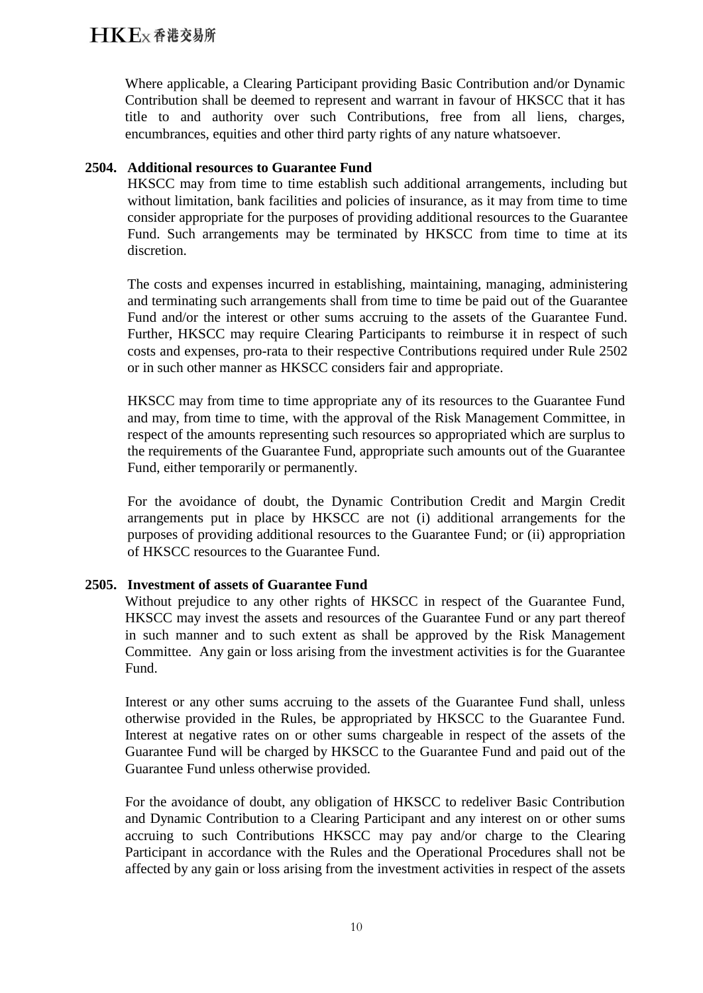Where applicable, a Clearing Participant providing Basic Contribution and/or Dynamic Contribution shall be deemed to represent and warrant in favour of HKSCC that it has title to and authority over such Contributions, free from all liens, charges, encumbrances, equities and other third party rights of any nature whatsoever.

### **2504. Additional resources to Guarantee Fund**

HKSCC may from time to time establish such additional arrangements, including but without limitation, bank facilities and policies of insurance, as it may from time to time consider appropriate for the purposes of providing additional resources to the Guarantee Fund. Such arrangements may be terminated by HKSCC from time to time at its discretion.

The costs and expenses incurred in establishing, maintaining, managing, administering and terminating such arrangements shall from time to time be paid out of the Guarantee Fund and/or the interest or other sums accruing to the assets of the Guarantee Fund. Further, HKSCC may require Clearing Participants to reimburse it in respect of such costs and expenses, pro-rata to their respective Contributions required under Rule 2502 or in such other manner as HKSCC considers fair and appropriate.

HKSCC may from time to time appropriate any of its resources to the Guarantee Fund and may, from time to time, with the approval of the Risk Management Committee, in respect of the amounts representing such resources so appropriated which are surplus to the requirements of the Guarantee Fund, appropriate such amounts out of the Guarantee Fund, either temporarily or permanently.

For the avoidance of doubt, the Dynamic Contribution Credit and Margin Credit arrangements put in place by HKSCC are not (i) additional arrangements for the purposes of providing additional resources to the Guarantee Fund; or (ii) appropriation of HKSCC resources to the Guarantee Fund.

### **2505. Investment of assets of Guarantee Fund**

Without prejudice to any other rights of HKSCC in respect of the Guarantee Fund, HKSCC may invest the assets and resources of the Guarantee Fund or any part thereof in such manner and to such extent as shall be approved by the Risk Management Committee. Any gain or loss arising from the investment activities is for the Guarantee Fund.

Interest or any other sums accruing to the assets of the Guarantee Fund shall, unless otherwise provided in the Rules, be appropriated by HKSCC to the Guarantee Fund. Interest at negative rates on or other sums chargeable in respect of the assets of the Guarantee Fund will be charged by HKSCC to the Guarantee Fund and paid out of the Guarantee Fund unless otherwise provided.

For the avoidance of doubt, any obligation of HKSCC to redeliver Basic Contribution and Dynamic Contribution to a Clearing Participant and any interest on or other sums accruing to such Contributions HKSCC may pay and/or charge to the Clearing Participant in accordance with the Rules and the Operational Procedures shall not be affected by any gain or loss arising from the investment activities in respect of the assets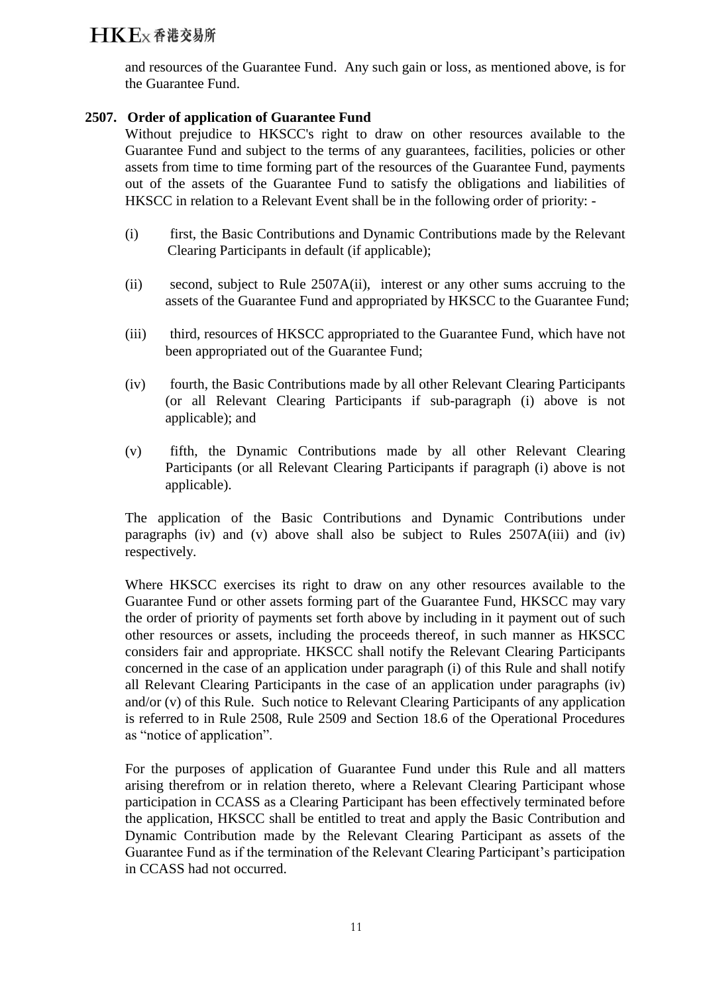and resources of the Guarantee Fund. Any such gain or loss, as mentioned above, is for the Guarantee Fund.

### **2507. Order of application of Guarantee Fund**

Without prejudice to HKSCC's right to draw on other resources available to the Guarantee Fund and subject to the terms of any guarantees, facilities, policies or other assets from time to time forming part of the resources of the Guarantee Fund, payments out of the assets of the Guarantee Fund to satisfy the obligations and liabilities of HKSCC in relation to a Relevant Event shall be in the following order of priority: -

- (i) first, the Basic Contributions and Dynamic Contributions made by the Relevant Clearing Participants in default (if applicable);
- (ii) second, subject to Rule 2507A(ii), interest or any other sums accruing to the assets of the Guarantee Fund and appropriated by HKSCC to the Guarantee Fund;
- (iii) third, resources of HKSCC appropriated to the Guarantee Fund, which have not been appropriated out of the Guarantee Fund;
- (iv) fourth, the Basic Contributions made by all other Relevant Clearing Participants (or all Relevant Clearing Participants if sub-paragraph (i) above is not applicable); and
- (v) fifth, the Dynamic Contributions made by all other Relevant Clearing Participants (or all Relevant Clearing Participants if paragraph (i) above is not applicable).

The application of the Basic Contributions and Dynamic Contributions under paragraphs (iv) and (v) above shall also be subject to Rules 2507A(iii) and (iv) respectively.

Where HKSCC exercises its right to draw on any other resources available to the Guarantee Fund or other assets forming part of the Guarantee Fund, HKSCC may vary the order of priority of payments set forth above by including in it payment out of such other resources or assets, including the proceeds thereof, in such manner as HKSCC considers fair and appropriate. HKSCC shall notify the Relevant Clearing Participants concerned in the case of an application under paragraph (i) of this Rule and shall notify all Relevant Clearing Participants in the case of an application under paragraphs (iv) and/or (v) of this Rule. Such notice to Relevant Clearing Participants of any application is referred to in Rule 2508, Rule 2509 and Section 18.6 of the Operational Procedures as "notice of application".

For the purposes of application of Guarantee Fund under this Rule and all matters arising therefrom or in relation thereto, where a Relevant Clearing Participant whose participation in CCASS as a Clearing Participant has been effectively terminated before the application, HKSCC shall be entitled to treat and apply the Basic Contribution and Dynamic Contribution made by the Relevant Clearing Participant as assets of the Guarantee Fund as if the termination of the Relevant Clearing Participant's participation in CCASS had not occurred.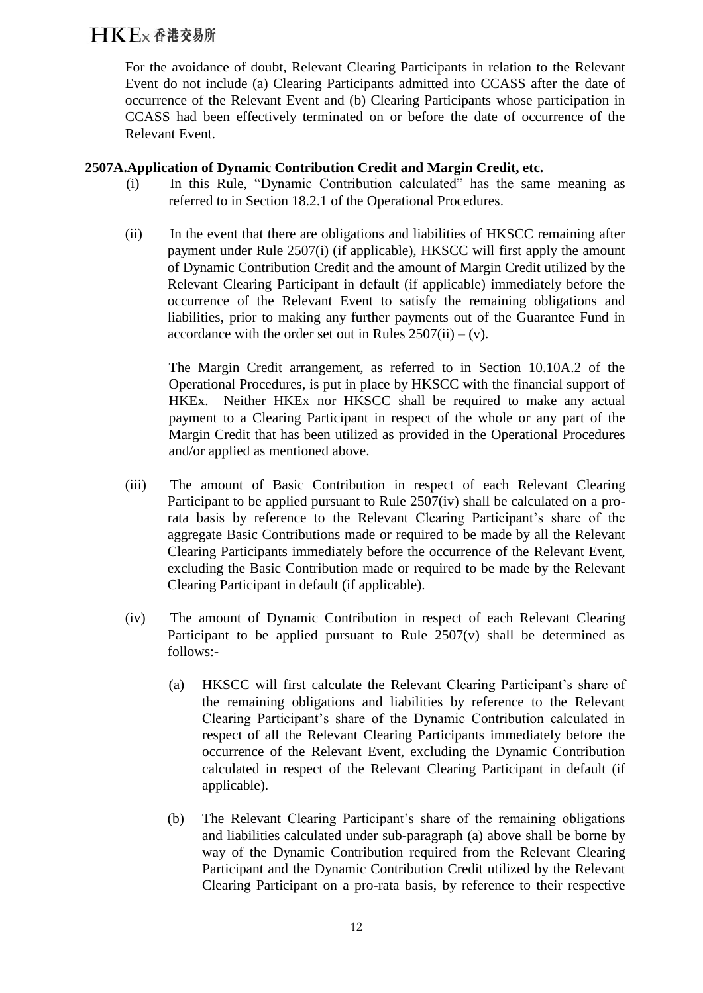For the avoidance of doubt, Relevant Clearing Participants in relation to the Relevant Event do not include (a) Clearing Participants admitted into CCASS after the date of occurrence of the Relevant Event and (b) Clearing Participants whose participation in CCASS had been effectively terminated on or before the date of occurrence of the Relevant Event.

### **2507A.Application of Dynamic Contribution Credit and Margin Credit, etc.**

- (i) In this Rule, "Dynamic Contribution calculated" has the same meaning as referred to in Section 18.2.1 of the Operational Procedures.
- (ii) In the event that there are obligations and liabilities of HKSCC remaining after payment under Rule 2507(i) (if applicable), HKSCC will first apply the amount of Dynamic Contribution Credit and the amount of Margin Credit utilized by the Relevant Clearing Participant in default (if applicable) immediately before the occurrence of the Relevant Event to satisfy the remaining obligations and liabilities, prior to making any further payments out of the Guarantee Fund in accordance with the order set out in Rules  $2507(ii) - (v)$ .

The Margin Credit arrangement, as referred to in Section 10.10A.2 of the Operational Procedures, is put in place by HKSCC with the financial support of HKEx. Neither HKEx nor HKSCC shall be required to make any actual payment to a Clearing Participant in respect of the whole or any part of the Margin Credit that has been utilized as provided in the Operational Procedures and/or applied as mentioned above.

- (iii) The amount of Basic Contribution in respect of each Relevant Clearing Participant to be applied pursuant to Rule 2507(iv) shall be calculated on a prorata basis by reference to the Relevant Clearing Participant's share of the aggregate Basic Contributions made or required to be made by all the Relevant Clearing Participants immediately before the occurrence of the Relevant Event, excluding the Basic Contribution made or required to be made by the Relevant Clearing Participant in default (if applicable).
- (iv) The amount of Dynamic Contribution in respect of each Relevant Clearing Participant to be applied pursuant to Rule  $2507(v)$  shall be determined as follows:-
	- (a) HKSCC will first calculate the Relevant Clearing Participant's share of the remaining obligations and liabilities by reference to the Relevant Clearing Participant's share of the Dynamic Contribution calculated in respect of all the Relevant Clearing Participants immediately before the occurrence of the Relevant Event, excluding the Dynamic Contribution calculated in respect of the Relevant Clearing Participant in default (if applicable).
	- (b) The Relevant Clearing Participant's share of the remaining obligations and liabilities calculated under sub-paragraph (a) above shall be borne by way of the Dynamic Contribution required from the Relevant Clearing Participant and the Dynamic Contribution Credit utilized by the Relevant Clearing Participant on a pro-rata basis, by reference to their respective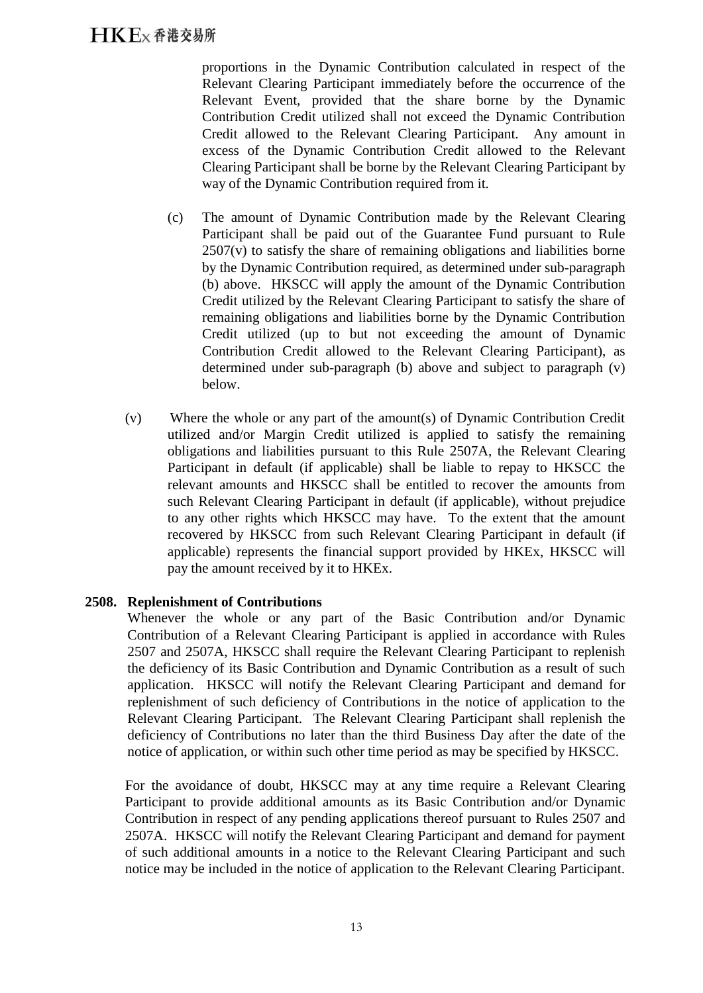proportions in the Dynamic Contribution calculated in respect of the Relevant Clearing Participant immediately before the occurrence of the Relevant Event, provided that the share borne by the Dynamic Contribution Credit utilized shall not exceed the Dynamic Contribution Credit allowed to the Relevant Clearing Participant. Any amount in excess of the Dynamic Contribution Credit allowed to the Relevant Clearing Participant shall be borne by the Relevant Clearing Participant by way of the Dynamic Contribution required from it.

- (c) The amount of Dynamic Contribution made by the Relevant Clearing Participant shall be paid out of the Guarantee Fund pursuant to Rule 2507(v) to satisfy the share of remaining obligations and liabilities borne by the Dynamic Contribution required, as determined under sub-paragraph (b) above. HKSCC will apply the amount of the Dynamic Contribution Credit utilized by the Relevant Clearing Participant to satisfy the share of remaining obligations and liabilities borne by the Dynamic Contribution Credit utilized (up to but not exceeding the amount of Dynamic Contribution Credit allowed to the Relevant Clearing Participant), as determined under sub-paragraph (b) above and subject to paragraph (v) below.
- (v) Where the whole or any part of the amount(s) of Dynamic Contribution Credit utilized and/or Margin Credit utilized is applied to satisfy the remaining obligations and liabilities pursuant to this Rule 2507A, the Relevant Clearing Participant in default (if applicable) shall be liable to repay to HKSCC the relevant amounts and HKSCC shall be entitled to recover the amounts from such Relevant Clearing Participant in default (if applicable), without prejudice to any other rights which HKSCC may have. To the extent that the amount recovered by HKSCC from such Relevant Clearing Participant in default (if applicable) represents the financial support provided by HKEx, HKSCC will pay the amount received by it to HKEx.

### **2508. Replenishment of Contributions**

Whenever the whole or any part of the Basic Contribution and/or Dynamic Contribution of a Relevant Clearing Participant is applied in accordance with Rules 2507 and 2507A, HKSCC shall require the Relevant Clearing Participant to replenish the deficiency of its Basic Contribution and Dynamic Contribution as a result of such application. HKSCC will notify the Relevant Clearing Participant and demand for replenishment of such deficiency of Contributions in the notice of application to the Relevant Clearing Participant. The Relevant Clearing Participant shall replenish the deficiency of Contributions no later than the third Business Day after the date of the notice of application, or within such other time period as may be specified by HKSCC.

For the avoidance of doubt, HKSCC may at any time require a Relevant Clearing Participant to provide additional amounts as its Basic Contribution and/or Dynamic Contribution in respect of any pending applications thereof pursuant to Rules 2507 and 2507A. HKSCC will notify the Relevant Clearing Participant and demand for payment of such additional amounts in a notice to the Relevant Clearing Participant and such notice may be included in the notice of application to the Relevant Clearing Participant.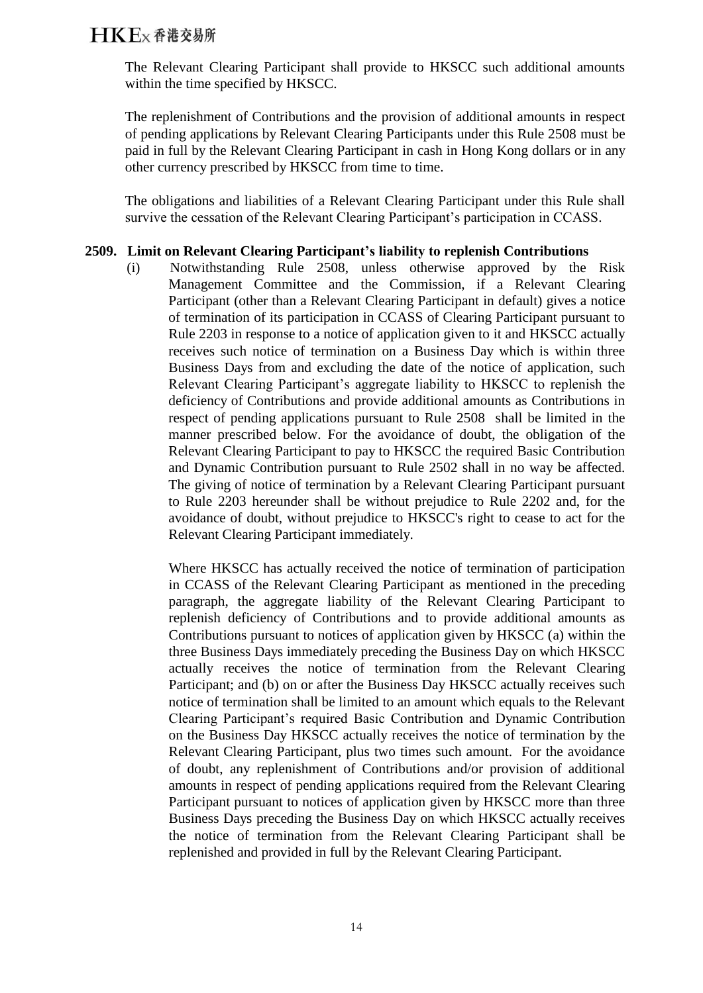The Relevant Clearing Participant shall provide to HKSCC such additional amounts within the time specified by HKSCC.

The replenishment of Contributions and the provision of additional amounts in respect of pending applications by Relevant Clearing Participants under this Rule 2508 must be paid in full by the Relevant Clearing Participant in cash in Hong Kong dollars or in any other currency prescribed by HKSCC from time to time.

The obligations and liabilities of a Relevant Clearing Participant under this Rule shall survive the cessation of the Relevant Clearing Participant's participation in CCASS.

### **2509. Limit on Relevant Clearing Participant's liability to replenish Contributions**

(i) Notwithstanding Rule 2508, unless otherwise approved by the Risk Management Committee and the Commission, if a Relevant Clearing Participant (other than a Relevant Clearing Participant in default) gives a notice of termination of its participation in CCASS of Clearing Participant pursuant to Rule 2203 in response to a notice of application given to it and HKSCC actually receives such notice of termination on a Business Day which is within three Business Days from and excluding the date of the notice of application, such Relevant Clearing Participant's aggregate liability to HKSCC to replenish the deficiency of Contributions and provide additional amounts as Contributions in respect of pending applications pursuant to Rule 2508 shall be limited in the manner prescribed below. For the avoidance of doubt, the obligation of the Relevant Clearing Participant to pay to HKSCC the required Basic Contribution and Dynamic Contribution pursuant to Rule 2502 shall in no way be affected. The giving of notice of termination by a Relevant Clearing Participant pursuant to Rule 2203 hereunder shall be without prejudice to Rule 2202 and, for the avoidance of doubt, without prejudice to HKSCC's right to cease to act for the Relevant Clearing Participant immediately.

Where HKSCC has actually received the notice of termination of participation in CCASS of the Relevant Clearing Participant as mentioned in the preceding paragraph, the aggregate liability of the Relevant Clearing Participant to replenish deficiency of Contributions and to provide additional amounts as Contributions pursuant to notices of application given by HKSCC (a) within the three Business Days immediately preceding the Business Day on which HKSCC actually receives the notice of termination from the Relevant Clearing Participant; and (b) on or after the Business Day HKSCC actually receives such notice of termination shall be limited to an amount which equals to the Relevant Clearing Participant's required Basic Contribution and Dynamic Contribution on the Business Day HKSCC actually receives the notice of termination by the Relevant Clearing Participant, plus two times such amount. For the avoidance of doubt, any replenishment of Contributions and/or provision of additional amounts in respect of pending applications required from the Relevant Clearing Participant pursuant to notices of application given by HKSCC more than three Business Days preceding the Business Day on which HKSCC actually receives the notice of termination from the Relevant Clearing Participant shall be replenished and provided in full by the Relevant Clearing Participant.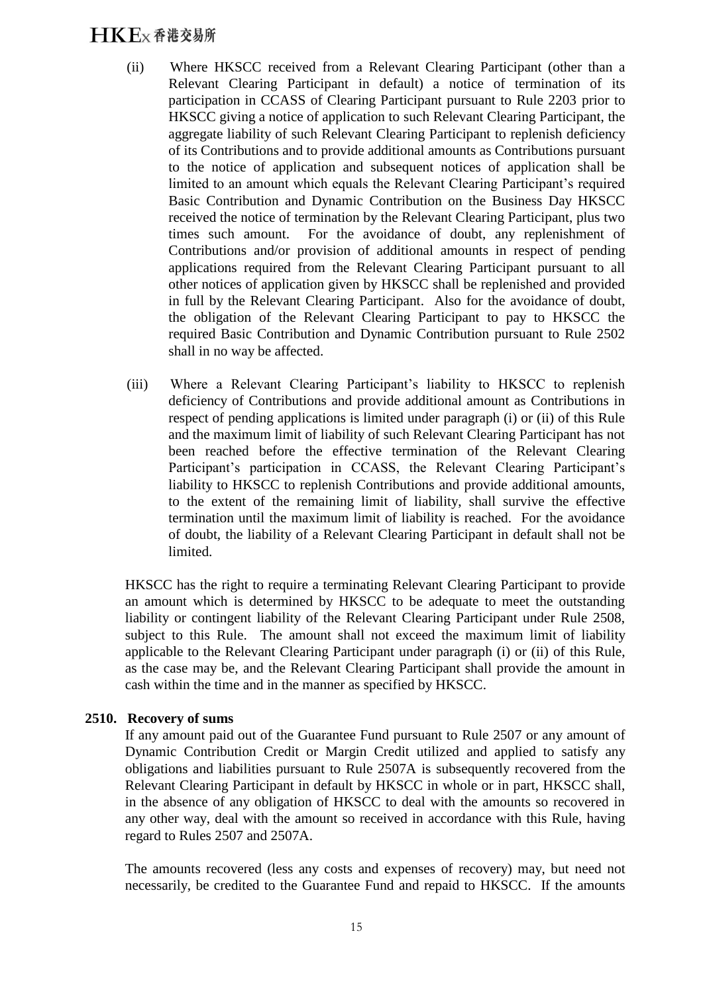- (ii) Where HKSCC received from a Relevant Clearing Participant (other than a Relevant Clearing Participant in default) a notice of termination of its participation in CCASS of Clearing Participant pursuant to Rule 2203 prior to HKSCC giving a notice of application to such Relevant Clearing Participant, the aggregate liability of such Relevant Clearing Participant to replenish deficiency of its Contributions and to provide additional amounts as Contributions pursuant to the notice of application and subsequent notices of application shall be limited to an amount which equals the Relevant Clearing Participant's required Basic Contribution and Dynamic Contribution on the Business Day HKSCC received the notice of termination by the Relevant Clearing Participant, plus two times such amount. For the avoidance of doubt, any replenishment of Contributions and/or provision of additional amounts in respect of pending applications required from the Relevant Clearing Participant pursuant to all other notices of application given by HKSCC shall be replenished and provided in full by the Relevant Clearing Participant. Also for the avoidance of doubt, the obligation of the Relevant Clearing Participant to pay to HKSCC the required Basic Contribution and Dynamic Contribution pursuant to Rule 2502 shall in no way be affected.
- (iii) Where a Relevant Clearing Participant's liability to HKSCC to replenish deficiency of Contributions and provide additional amount as Contributions in respect of pending applications is limited under paragraph (i) or (ii) of this Rule and the maximum limit of liability of such Relevant Clearing Participant has not been reached before the effective termination of the Relevant Clearing Participant's participation in CCASS, the Relevant Clearing Participant's liability to HKSCC to replenish Contributions and provide additional amounts, to the extent of the remaining limit of liability, shall survive the effective termination until the maximum limit of liability is reached. For the avoidance of doubt, the liability of a Relevant Clearing Participant in default shall not be limited.

HKSCC has the right to require a terminating Relevant Clearing Participant to provide an amount which is determined by HKSCC to be adequate to meet the outstanding liability or contingent liability of the Relevant Clearing Participant under Rule 2508, subject to this Rule. The amount shall not exceed the maximum limit of liability applicable to the Relevant Clearing Participant under paragraph (i) or (ii) of this Rule, as the case may be, and the Relevant Clearing Participant shall provide the amount in cash within the time and in the manner as specified by HKSCC.

### **2510. Recovery of sums**

If any amount paid out of the Guarantee Fund pursuant to Rule 2507 or any amount of Dynamic Contribution Credit or Margin Credit utilized and applied to satisfy any obligations and liabilities pursuant to Rule 2507A is subsequently recovered from the Relevant Clearing Participant in default by HKSCC in whole or in part, HKSCC shall, in the absence of any obligation of HKSCC to deal with the amounts so recovered in any other way, deal with the amount so received in accordance with this Rule, having regard to Rules 2507 and 2507A.

The amounts recovered (less any costs and expenses of recovery) may, but need not necessarily, be credited to the Guarantee Fund and repaid to HKSCC. If the amounts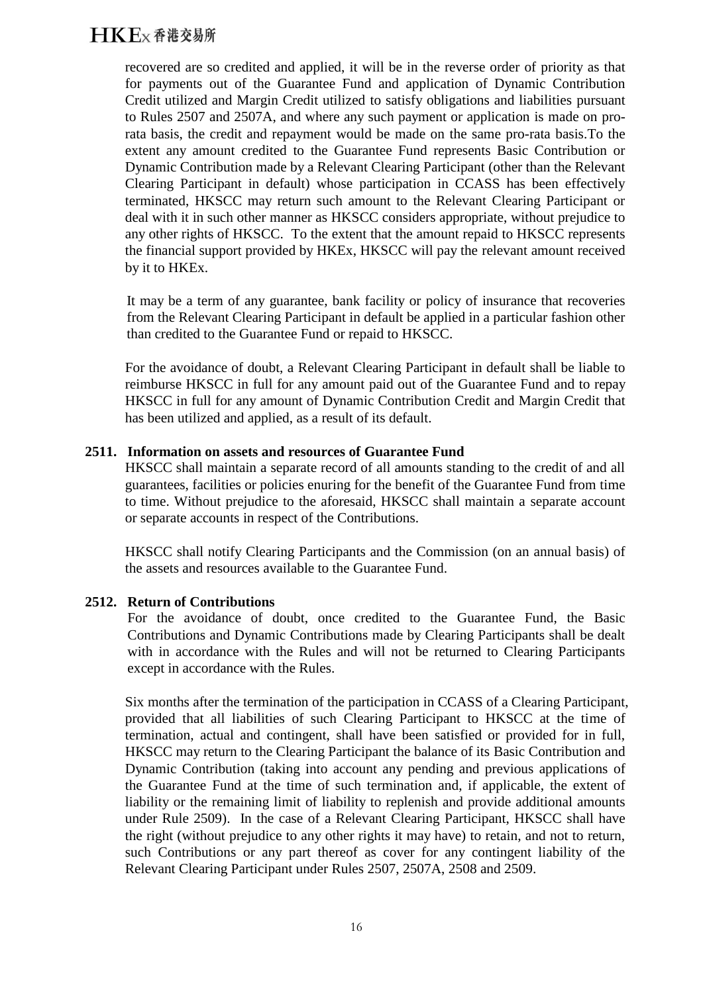recovered are so credited and applied, it will be in the reverse order of priority as that for payments out of the Guarantee Fund and application of Dynamic Contribution Credit utilized and Margin Credit utilized to satisfy obligations and liabilities pursuant to Rules 2507 and 2507A, and where any such payment or application is made on prorata basis, the credit and repayment would be made on the same pro-rata basis.To the extent any amount credited to the Guarantee Fund represents Basic Contribution or Dynamic Contribution made by a Relevant Clearing Participant (other than the Relevant Clearing Participant in default) whose participation in CCASS has been effectively terminated, HKSCC may return such amount to the Relevant Clearing Participant or deal with it in such other manner as HKSCC considers appropriate, without prejudice to any other rights of HKSCC. To the extent that the amount repaid to HKSCC represents the financial support provided by HKEx, HKSCC will pay the relevant amount received by it to HKEx.

It may be a term of any guarantee, bank facility or policy of insurance that recoveries from the Relevant Clearing Participant in default be applied in a particular fashion other than credited to the Guarantee Fund or repaid to HKSCC.

For the avoidance of doubt, a Relevant Clearing Participant in default shall be liable to reimburse HKSCC in full for any amount paid out of the Guarantee Fund and to repay HKSCC in full for any amount of Dynamic Contribution Credit and Margin Credit that has been utilized and applied, as a result of its default.

### **2511. Information on assets and resources of Guarantee Fund**

HKSCC shall maintain a separate record of all amounts standing to the credit of and all guarantees, facilities or policies enuring for the benefit of the Guarantee Fund from time to time. Without prejudice to the aforesaid, HKSCC shall maintain a separate account or separate accounts in respect of the Contributions.

HKSCC shall notify Clearing Participants and the Commission (on an annual basis) of the assets and resources available to the Guarantee Fund.

### **2512. Return of Contributions**

For the avoidance of doubt, once credited to the Guarantee Fund, the Basic Contributions and Dynamic Contributions made by Clearing Participants shall be dealt with in accordance with the Rules and will not be returned to Clearing Participants except in accordance with the Rules.

Six months after the termination of the participation in CCASS of a Clearing Participant, provided that all liabilities of such Clearing Participant to HKSCC at the time of termination, actual and contingent, shall have been satisfied or provided for in full, HKSCC may return to the Clearing Participant the balance of its Basic Contribution and Dynamic Contribution (taking into account any pending and previous applications of the Guarantee Fund at the time of such termination and, if applicable, the extent of liability or the remaining limit of liability to replenish and provide additional amounts under Rule 2509). In the case of a Relevant Clearing Participant, HKSCC shall have the right (without prejudice to any other rights it may have) to retain, and not to return, such Contributions or any part thereof as cover for any contingent liability of the Relevant Clearing Participant under Rules 2507, 2507A, 2508 and 2509.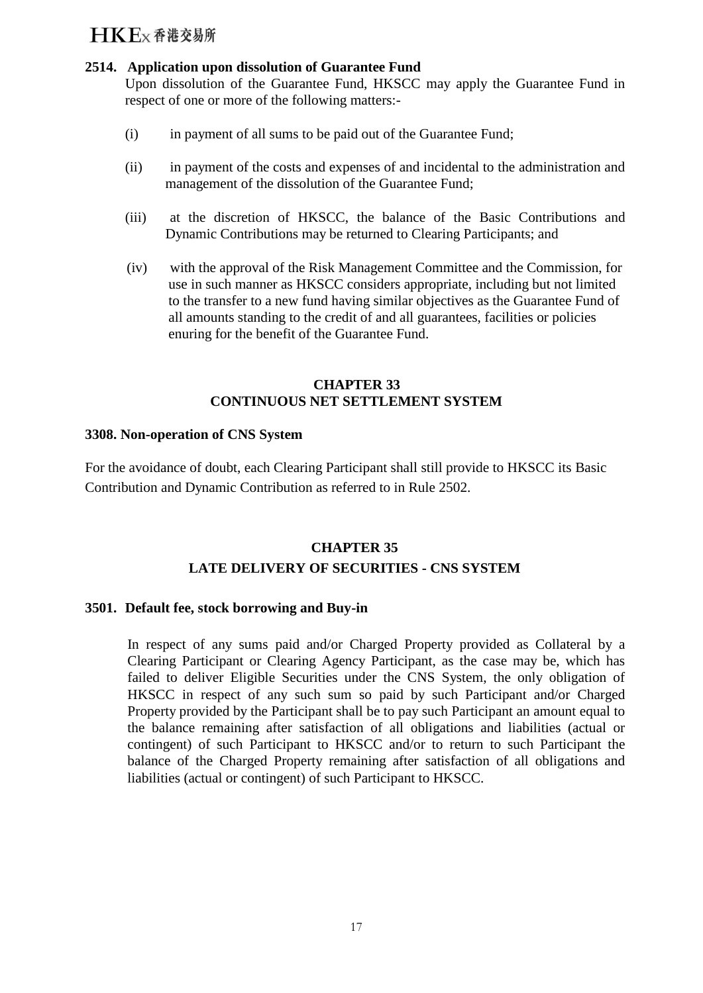### **2514. Application upon dissolution of Guarantee Fund**

Upon dissolution of the Guarantee Fund, HKSCC may apply the Guarantee Fund in respect of one or more of the following matters:-

- (i) in payment of all sums to be paid out of the Guarantee Fund;
- (ii) in payment of the costs and expenses of and incidental to the administration and management of the dissolution of the Guarantee Fund;
- (iii) at the discretion of HKSCC, the balance of the Basic Contributions and Dynamic Contributions may be returned to Clearing Participants; and
- (iv) with the approval of the Risk Management Committee and the Commission, for use in such manner as HKSCC considers appropriate, including but not limited to the transfer to a new fund having similar objectives as the Guarantee Fund of all amounts standing to the credit of and all guarantees, facilities or policies enuring for the benefit of the Guarantee Fund.

### **CHAPTER 33 CONTINUOUS NET SETTLEMENT SYSTEM**

### **3308. Non-operation of CNS System**

For the avoidance of doubt, each Clearing Participant shall still provide to HKSCC its Basic Contribution and Dynamic Contribution as referred to in Rule 2502.

### **CHAPTER 35 LATE DELIVERY OF SECURITIES - CNS SYSTEM**

### **3501. Default fee, stock borrowing and Buy-in**

In respect of any sums paid and/or Charged Property provided as Collateral by a Clearing Participant or Clearing Agency Participant, as the case may be, which has failed to deliver Eligible Securities under the CNS System, the only obligation of HKSCC in respect of any such sum so paid by such Participant and/or Charged Property provided by the Participant shall be to pay such Participant an amount equal to the balance remaining after satisfaction of all obligations and liabilities (actual or contingent) of such Participant to HKSCC and/or to return to such Participant the balance of the Charged Property remaining after satisfaction of all obligations and liabilities (actual or contingent) of such Participant to HKSCC.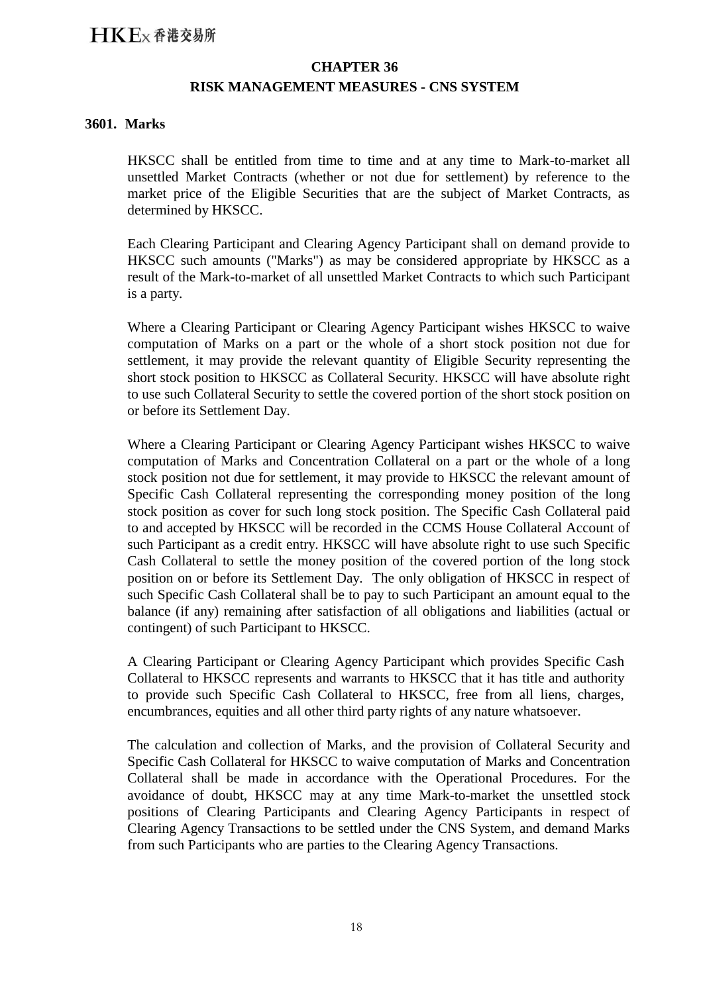### **CHAPTER 36 RISK MANAGEMENT MEASURES - CNS SYSTEM**

### **3601. Marks**

HKSCC shall be entitled from time to time and at any time to Mark-to-market all unsettled Market Contracts (whether or not due for settlement) by reference to the market price of the Eligible Securities that are the subject of Market Contracts, as determined by HKSCC.

Each Clearing Participant and Clearing Agency Participant shall on demand provide to HKSCC such amounts ("Marks") as may be considered appropriate by HKSCC as a result of the Mark-to-market of all unsettled Market Contracts to which such Participant is a party.

Where a Clearing Participant or Clearing Agency Participant wishes HKSCC to waive computation of Marks on a part or the whole of a short stock position not due for settlement, it may provide the relevant quantity of Eligible Security representing the short stock position to HKSCC as Collateral Security. HKSCC will have absolute right to use such Collateral Security to settle the covered portion of the short stock position on or before its Settlement Day.

Where a Clearing Participant or Clearing Agency Participant wishes HKSCC to waive computation of Marks and Concentration Collateral on a part or the whole of a long stock position not due for settlement, it may provide to HKSCC the relevant amount of Specific Cash Collateral representing the corresponding money position of the long stock position as cover for such long stock position. The Specific Cash Collateral paid to and accepted by HKSCC will be recorded in the CCMS House Collateral Account of such Participant as a credit entry. HKSCC will have absolute right to use such Specific Cash Collateral to settle the money position of the covered portion of the long stock position on or before its Settlement Day. The only obligation of HKSCC in respect of such Specific Cash Collateral shall be to pay to such Participant an amount equal to the balance (if any) remaining after satisfaction of all obligations and liabilities (actual or contingent) of such Participant to HKSCC.

A Clearing Participant or Clearing Agency Participant which provides Specific Cash Collateral to HKSCC represents and warrants to HKSCC that it has title and authority to provide such Specific Cash Collateral to HKSCC, free from all liens, charges, encumbrances, equities and all other third party rights of any nature whatsoever.

The calculation and collection of Marks, and the provision of Collateral Security and Specific Cash Collateral for HKSCC to waive computation of Marks and Concentration Collateral shall be made in accordance with the Operational Procedures. For the avoidance of doubt, HKSCC may at any time Mark-to-market the unsettled stock positions of Clearing Participants and Clearing Agency Participants in respect of Clearing Agency Transactions to be settled under the CNS System, and demand Marks from such Participants who are parties to the Clearing Agency Transactions.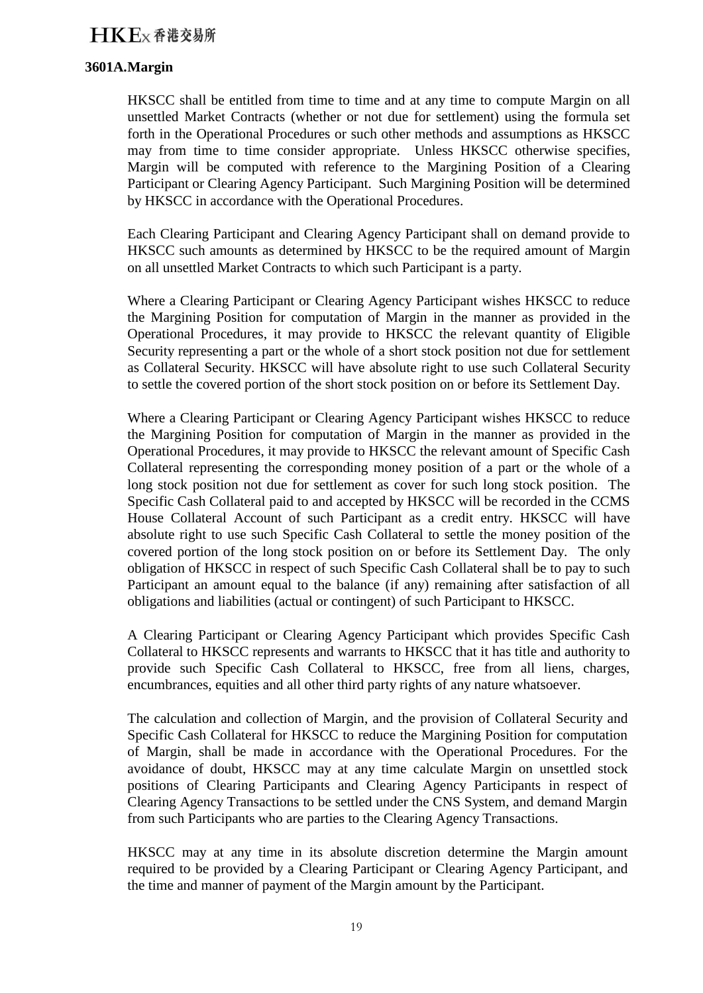### **3601A.Margin**

HKSCC shall be entitled from time to time and at any time to compute Margin on all unsettled Market Contracts (whether or not due for settlement) using the formula set forth in the Operational Procedures or such other methods and assumptions as HKSCC may from time to time consider appropriate. Unless HKSCC otherwise specifies, Margin will be computed with reference to the Margining Position of a Clearing Participant or Clearing Agency Participant. Such Margining Position will be determined by HKSCC in accordance with the Operational Procedures.

Each Clearing Participant and Clearing Agency Participant shall on demand provide to HKSCC such amounts as determined by HKSCC to be the required amount of Margin on all unsettled Market Contracts to which such Participant is a party.

Where a Clearing Participant or Clearing Agency Participant wishes HKSCC to reduce the Margining Position for computation of Margin in the manner as provided in the Operational Procedures, it may provide to HKSCC the relevant quantity of Eligible Security representing a part or the whole of a short stock position not due for settlement as Collateral Security. HKSCC will have absolute right to use such Collateral Security to settle the covered portion of the short stock position on or before its Settlement Day.

Where a Clearing Participant or Clearing Agency Participant wishes HKSCC to reduce the Margining Position for computation of Margin in the manner as provided in the Operational Procedures, it may provide to HKSCC the relevant amount of Specific Cash Collateral representing the corresponding money position of a part or the whole of a long stock position not due for settlement as cover for such long stock position. The Specific Cash Collateral paid to and accepted by HKSCC will be recorded in the CCMS House Collateral Account of such Participant as a credit entry. HKSCC will have absolute right to use such Specific Cash Collateral to settle the money position of the covered portion of the long stock position on or before its Settlement Day. The only obligation of HKSCC in respect of such Specific Cash Collateral shall be to pay to such Participant an amount equal to the balance (if any) remaining after satisfaction of all obligations and liabilities (actual or contingent) of such Participant to HKSCC.

A Clearing Participant or Clearing Agency Participant which provides Specific Cash Collateral to HKSCC represents and warrants to HKSCC that it has title and authority to provide such Specific Cash Collateral to HKSCC, free from all liens, charges, encumbrances, equities and all other third party rights of any nature whatsoever.

The calculation and collection of Margin, and the provision of Collateral Security and Specific Cash Collateral for HKSCC to reduce the Margining Position for computation of Margin, shall be made in accordance with the Operational Procedures. For the avoidance of doubt, HKSCC may at any time calculate Margin on unsettled stock positions of Clearing Participants and Clearing Agency Participants in respect of Clearing Agency Transactions to be settled under the CNS System, and demand Margin from such Participants who are parties to the Clearing Agency Transactions.

HKSCC may at any time in its absolute discretion determine the Margin amount required to be provided by a Clearing Participant or Clearing Agency Participant, and the time and manner of payment of the Margin amount by the Participant.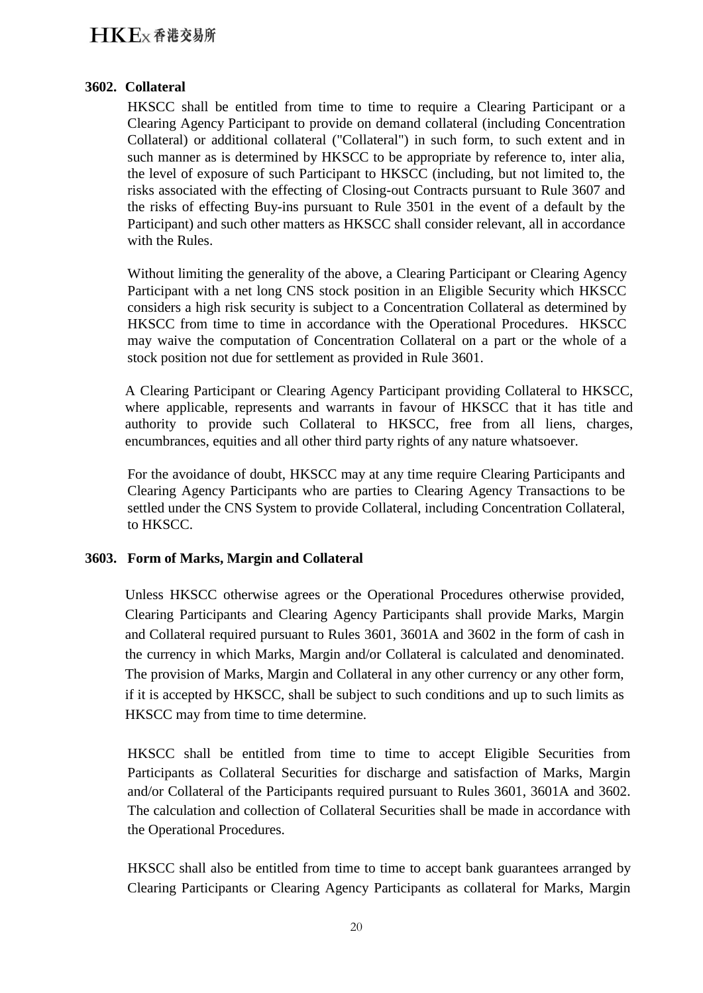### **3602. Collateral**

HKSCC shall be entitled from time to time to require a Clearing Participant or a Clearing Agency Participant to provide on demand collateral (including Concentration Collateral) or additional collateral ("Collateral") in such form, to such extent and in such manner as is determined by HKSCC to be appropriate by reference to, inter alia, the level of exposure of such Participant to HKSCC (including, but not limited to, the risks associated with the effecting of Closing-out Contracts pursuant to Rule 3607 and the risks of effecting Buy-ins pursuant to Rule 3501 in the event of a default by the Participant) and such other matters as HKSCC shall consider relevant, all in accordance with the Rules.

Without limiting the generality of the above, a Clearing Participant or Clearing Agency Participant with a net long CNS stock position in an Eligible Security which HKSCC considers a high risk security is subject to a Concentration Collateral as determined by HKSCC from time to time in accordance with the Operational Procedures. HKSCC may waive the computation of Concentration Collateral on a part or the whole of a stock position not due for settlement as provided in Rule 3601.

A Clearing Participant or Clearing Agency Participant providing Collateral to HKSCC, where applicable, represents and warrants in favour of HKSCC that it has title and authority to provide such Collateral to HKSCC, free from all liens, charges, encumbrances, equities and all other third party rights of any nature whatsoever.

For the avoidance of doubt, HKSCC may at any time require Clearing Participants and Clearing Agency Participants who are parties to Clearing Agency Transactions to be settled under the CNS System to provide Collateral, including Concentration Collateral, to HKSCC.

### **3603. Form of Marks, Margin and Collateral**

Unless HKSCC otherwise agrees or the Operational Procedures otherwise provided, Clearing Participants and Clearing Agency Participants shall provide Marks, Margin and Collateral required pursuant to Rules 3601, 3601A and 3602 in the form of cash in the currency in which Marks, Margin and/or Collateral is calculated and denominated. The provision of Marks, Margin and Collateral in any other currency or any other form, if it is accepted by HKSCC, shall be subject to such conditions and up to such limits as HKSCC may from time to time determine.

HKSCC shall be entitled from time to time to accept Eligible Securities from Participants as Collateral Securities for discharge and satisfaction of Marks, Margin and/or Collateral of the Participants required pursuant to Rules 3601, 3601A and 3602. The calculation and collection of Collateral Securities shall be made in accordance with the Operational Procedures.

HKSCC shall also be entitled from time to time to accept bank guarantees arranged by Clearing Participants or Clearing Agency Participants as collateral for Marks, Margin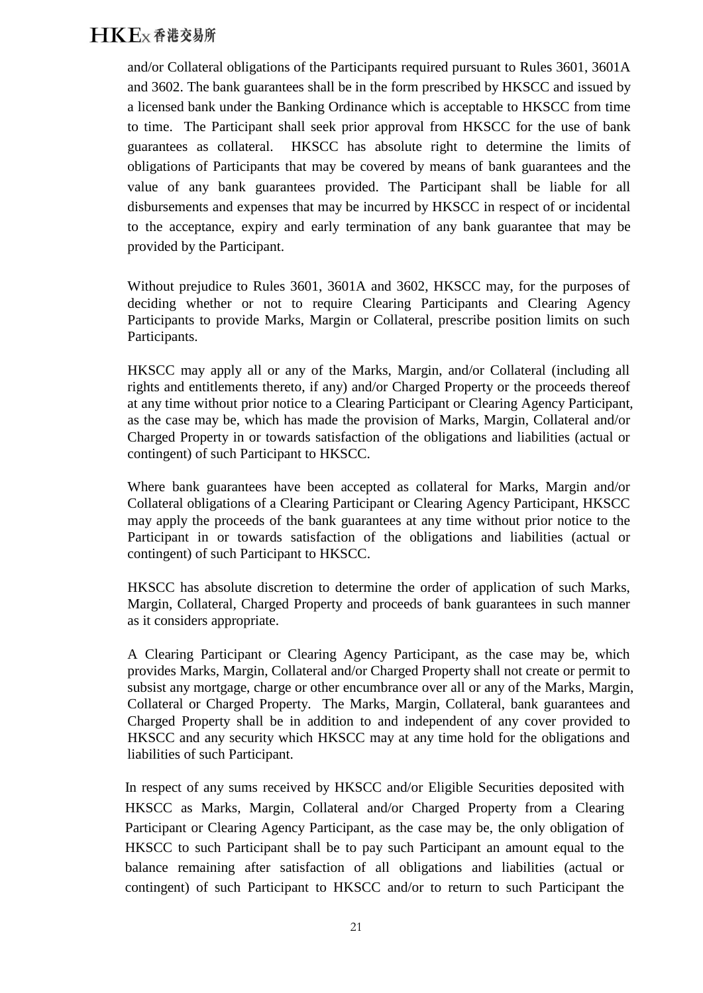and/or Collateral obligations of the Participants required pursuant to Rules 3601, 3601A and 3602. The bank guarantees shall be in the form prescribed by HKSCC and issued by a licensed bank under the Banking Ordinance which is acceptable to HKSCC from time to time. The Participant shall seek prior approval from HKSCC for the use of bank guarantees as collateral. HKSCC has absolute right to determine the limits of obligations of Participants that may be covered by means of bank guarantees and the value of any bank guarantees provided. The Participant shall be liable for all disbursements and expenses that may be incurred by HKSCC in respect of or incidental to the acceptance, expiry and early termination of any bank guarantee that may be provided by the Participant.

Without prejudice to Rules 3601, 3601A and 3602, HKSCC may, for the purposes of deciding whether or not to require Clearing Participants and Clearing Agency Participants to provide Marks, Margin or Collateral, prescribe position limits on such Participants.

HKSCC may apply all or any of the Marks, Margin, and/or Collateral (including all rights and entitlements thereto, if any) and/or Charged Property or the proceeds thereof at any time without prior notice to a Clearing Participant or Clearing Agency Participant, as the case may be, which has made the provision of Marks, Margin, Collateral and/or Charged Property in or towards satisfaction of the obligations and liabilities (actual or contingent) of such Participant to HKSCC.

Where bank guarantees have been accepted as collateral for Marks, Margin and/or Collateral obligations of a Clearing Participant or Clearing Agency Participant, HKSCC may apply the proceeds of the bank guarantees at any time without prior notice to the Participant in or towards satisfaction of the obligations and liabilities (actual or contingent) of such Participant to HKSCC.

HKSCC has absolute discretion to determine the order of application of such Marks, Margin, Collateral, Charged Property and proceeds of bank guarantees in such manner as it considers appropriate.

A Clearing Participant or Clearing Agency Participant, as the case may be, which provides Marks, Margin, Collateral and/or Charged Property shall not create or permit to subsist any mortgage, charge or other encumbrance over all or any of the Marks, Margin, Collateral or Charged Property. The Marks, Margin, Collateral, bank guarantees and Charged Property shall be in addition to and independent of any cover provided to HKSCC and any security which HKSCC may at any time hold for the obligations and liabilities of such Participant.

In respect of any sums received by HKSCC and/or Eligible Securities deposited with HKSCC as Marks, Margin, Collateral and/or Charged Property from a Clearing Participant or Clearing Agency Participant, as the case may be, the only obligation of HKSCC to such Participant shall be to pay such Participant an amount equal to the balance remaining after satisfaction of all obligations and liabilities (actual or contingent) of such Participant to HKSCC and/or to return to such Participant the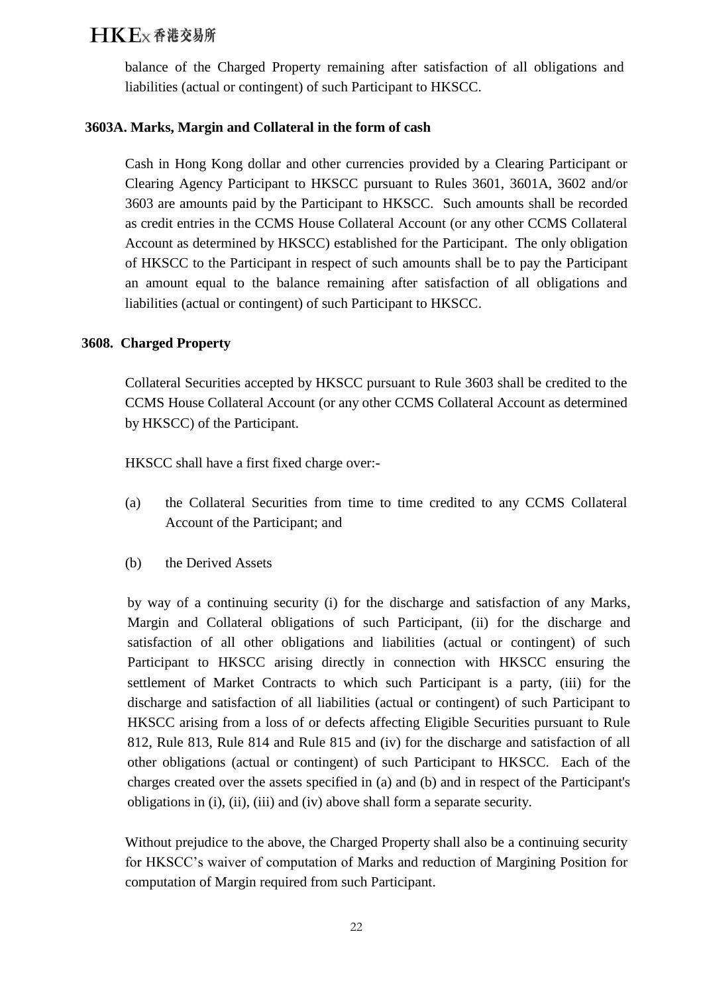balance of the Charged Property remaining after satisfaction of all obligations and liabilities (actual or contingent) of such Participant to HKSCC.

### **3603A. Marks, Margin and Collateral in the form of cash**

Cash in Hong Kong dollar and other currencies provided by a Clearing Participant or Clearing Agency Participant to HKSCC pursuant to Rules 3601, 3601A, 3602 and/or 3603 are amounts paid by the Participant to HKSCC. Such amounts shall be recorded as credit entries in the CCMS House Collateral Account (or any other CCMS Collateral Account as determined by HKSCC) established for the Participant. The only obligation of HKSCC to the Participant in respect of such amounts shall be to pay the Participant an amount equal to the balance remaining after satisfaction of all obligations and liabilities (actual or contingent) of such Participant to HKSCC.

### **3608. Charged Property**

Collateral Securities accepted by HKSCC pursuant to Rule 3603 shall be credited to the CCMS House Collateral Account (or any other CCMS Collateral Account as determined by HKSCC) of the Participant.

HKSCC shall have a first fixed charge over:-

- (a) the Collateral Securities from time to time credited to any CCMS Collateral Account of the Participant; and
- (b) the Derived Assets

by way of a continuing security (i) for the discharge and satisfaction of any Marks, Margin and Collateral obligations of such Participant, (ii) for the discharge and satisfaction of all other obligations and liabilities (actual or contingent) of such Participant to HKSCC arising directly in connection with HKSCC ensuring the settlement of Market Contracts to which such Participant is a party, (iii) for the discharge and satisfaction of all liabilities (actual or contingent) of such Participant to HKSCC arising from a loss of or defects affecting Eligible Securities pursuant to Rule 812, Rule 813, Rule 814 and Rule 815 and (iv) for the discharge and satisfaction of all other obligations (actual or contingent) of such Participant to HKSCC. Each of the charges created over the assets specified in (a) and (b) and in respect of the Participant's obligations in (i), (ii), (iii) and (iv) above shall form a separate security.

Without prejudice to the above, the Charged Property shall also be a continuing security for HKSCC's waiver of computation of Marks and reduction of Margining Position for computation of Margin required from such Participant.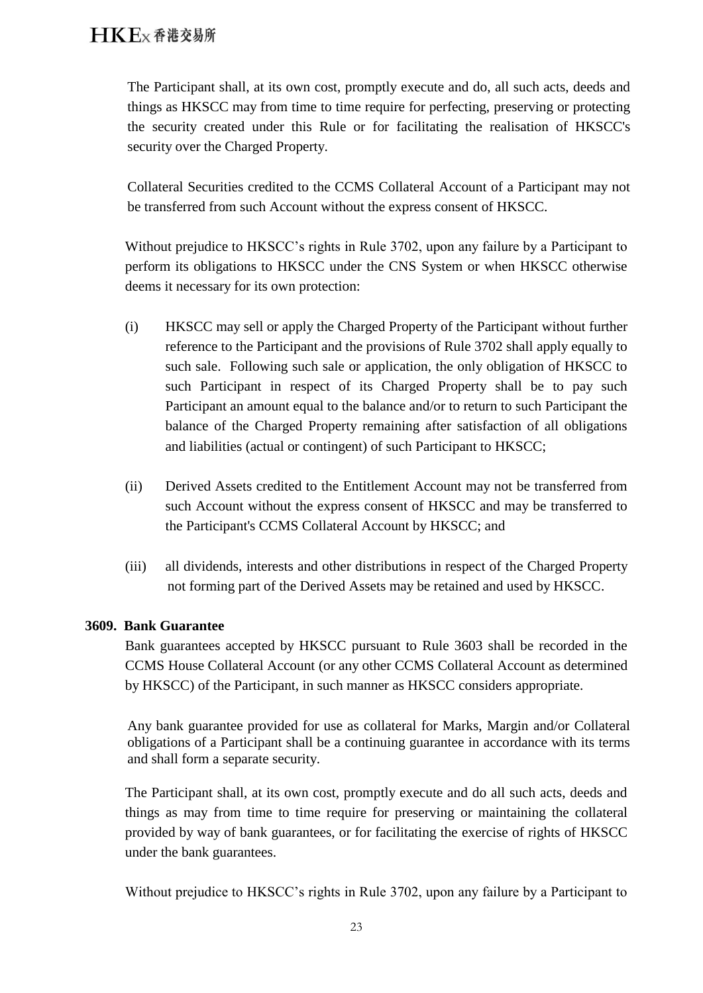The Participant shall, at its own cost, promptly execute and do, all such acts, deeds and things as HKSCC may from time to time require for perfecting, preserving or protecting the security created under this Rule or for facilitating the realisation of HKSCC's security over the Charged Property.

Collateral Securities credited to the CCMS Collateral Account of a Participant may not be transferred from such Account without the express consent of HKSCC.

Without prejudice to HKSCC's rights in Rule 3702, upon any failure by a Participant to perform its obligations to HKSCC under the CNS System or when HKSCC otherwise deems it necessary for its own protection:

- (i) HKSCC may sell or apply the Charged Property of the Participant without further reference to the Participant and the provisions of Rule 3702 shall apply equally to such sale. Following such sale or application, the only obligation of HKSCC to such Participant in respect of its Charged Property shall be to pay such Participant an amount equal to the balance and/or to return to such Participant the balance of the Charged Property remaining after satisfaction of all obligations and liabilities (actual or contingent) of such Participant to HKSCC;
- (ii) Derived Assets credited to the Entitlement Account may not be transferred from such Account without the express consent of HKSCC and may be transferred to the Participant's CCMS Collateral Account by HKSCC; and
- (iii) all dividends, interests and other distributions in respect of the Charged Property not forming part of the Derived Assets may be retained and used by HKSCC.

### **3609. Bank Guarantee**

Bank guarantees accepted by HKSCC pursuant to Rule 3603 shall be recorded in the CCMS House Collateral Account (or any other CCMS Collateral Account as determined by HKSCC) of the Participant, in such manner as HKSCC considers appropriate.

Any bank guarantee provided for use as collateral for Marks, Margin and/or Collateral obligations of a Participant shall be a continuing guarantee in accordance with its terms and shall form a separate security.

The Participant shall, at its own cost, promptly execute and do all such acts, deeds and things as may from time to time require for preserving or maintaining the collateral provided by way of bank guarantees, or for facilitating the exercise of rights of HKSCC under the bank guarantees.

Without prejudice to HKSCC's rights in Rule 3702, upon any failure by a Participant to